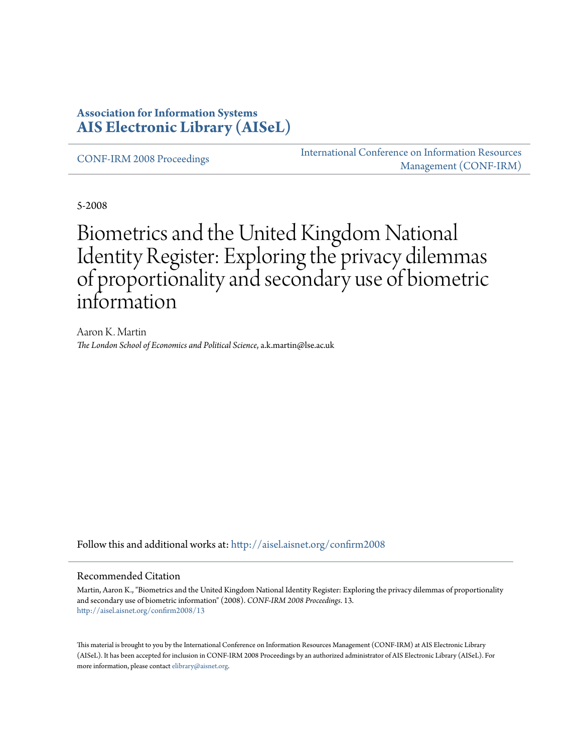### **Association for Information Systems [AIS Electronic Library \(AISeL\)](http://aisel.aisnet.org?utm_source=aisel.aisnet.org%2Fconfirm2008%2F13&utm_medium=PDF&utm_campaign=PDFCoverPages)**

[CONF-IRM 2008 Proceedings](http://aisel.aisnet.org/confirm2008?utm_source=aisel.aisnet.org%2Fconfirm2008%2F13&utm_medium=PDF&utm_campaign=PDFCoverPages)

[International Conference on Information Resources](http://aisel.aisnet.org/conf-irm?utm_source=aisel.aisnet.org%2Fconfirm2008%2F13&utm_medium=PDF&utm_campaign=PDFCoverPages) [Management \(CONF-IRM\)](http://aisel.aisnet.org/conf-irm?utm_source=aisel.aisnet.org%2Fconfirm2008%2F13&utm_medium=PDF&utm_campaign=PDFCoverPages)

5-2008

# Biometrics and the United Kingdom National Identity Register: Exploring the privacy dilemmas of proportionality and secondary use of biometric information

Aaron K. Martin *The London School of Economics and Political Science*, a.k.martin@lse.ac.uk

Follow this and additional works at: [http://aisel.aisnet.org/confirm2008](http://aisel.aisnet.org/confirm2008?utm_source=aisel.aisnet.org%2Fconfirm2008%2F13&utm_medium=PDF&utm_campaign=PDFCoverPages)

#### Recommended Citation

Martin, Aaron K., "Biometrics and the United Kingdom National Identity Register: Exploring the privacy dilemmas of proportionality and secondary use of biometric information" (2008). *CONF-IRM 2008 Proceedings*. 13. [http://aisel.aisnet.org/confirm2008/13](http://aisel.aisnet.org/confirm2008/13?utm_source=aisel.aisnet.org%2Fconfirm2008%2F13&utm_medium=PDF&utm_campaign=PDFCoverPages)

This material is brought to you by the International Conference on Information Resources Management (CONF-IRM) at AIS Electronic Library (AISeL). It has been accepted for inclusion in CONF-IRM 2008 Proceedings by an authorized administrator of AIS Electronic Library (AISeL). For more information, please contact [elibrary@aisnet.org.](mailto:elibrary@aisnet.org%3E)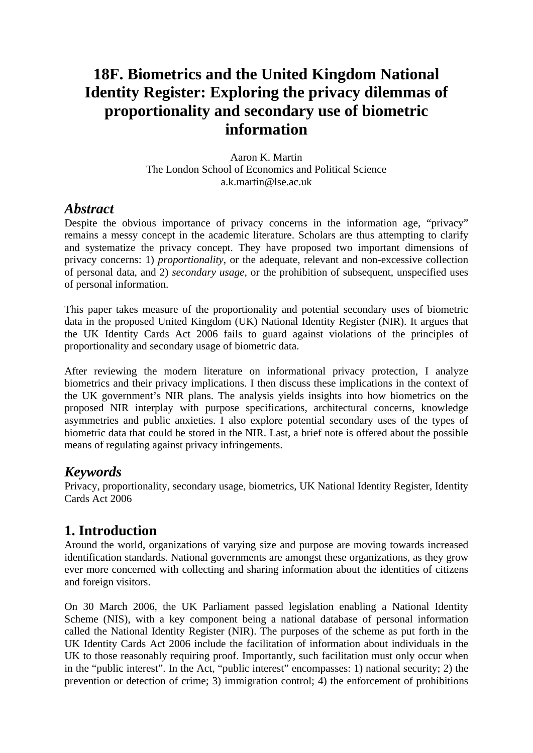# **18F. Biometrics and the United Kingdom National Identity Register: Exploring the privacy dilemmas of proportionality and secondary use of biometric information**

Aaron K. Martin The London School of Economics and Political Science a.k.martin@lse.ac.uk

### *Abstract*

Despite the obvious importance of privacy concerns in the information age, "privacy" remains a messy concept in the academic literature. Scholars are thus attempting to clarify and systematize the privacy concept. They have proposed two important dimensions of privacy concerns: 1) *proportionality*, or the adequate, relevant and non-excessive collection of personal data, and 2) *secondary usage,* or the prohibition of subsequent, unspecified uses of personal information.

This paper takes measure of the proportionality and potential secondary uses of biometric data in the proposed United Kingdom (UK) National Identity Register (NIR). It argues that the UK Identity Cards Act 2006 fails to guard against violations of the principles of proportionality and secondary usage of biometric data.

After reviewing the modern literature on informational privacy protection, I analyze biometrics and their privacy implications. I then discuss these implications in the context of the UK government's NIR plans. The analysis yields insights into how biometrics on the proposed NIR interplay with purpose specifications, architectural concerns, knowledge asymmetries and public anxieties. I also explore potential secondary uses of the types of biometric data that could be stored in the NIR. Last, a brief note is offered about the possible means of regulating against privacy infringements.

# *Keywords*

Privacy, proportionality, secondary usage, biometrics, UK National Identity Register, Identity Cards Act 2006

# **1. Introduction**

Around the world, organizations of varying size and purpose are moving towards increased identification standards. National governments are amongst these organizations, as they grow ever more concerned with collecting and sharing information about the identities of citizens and foreign visitors.

On 30 March 2006, the UK Parliament passed legislation enabling a National Identity Scheme (NIS), with a key component being a national database of personal information called the National Identity Register (NIR). The purposes of the scheme as put forth in the UK Identity Cards Act 2006 include the facilitation of information about individuals in the UK to those reasonably requiring proof. Importantly, such facilitation must only occur when in the "public interest". In the Act, "public interest" encompasses: 1) national security; 2) the prevention or detection of crime; 3) immigration control; 4) the enforcement of prohibitions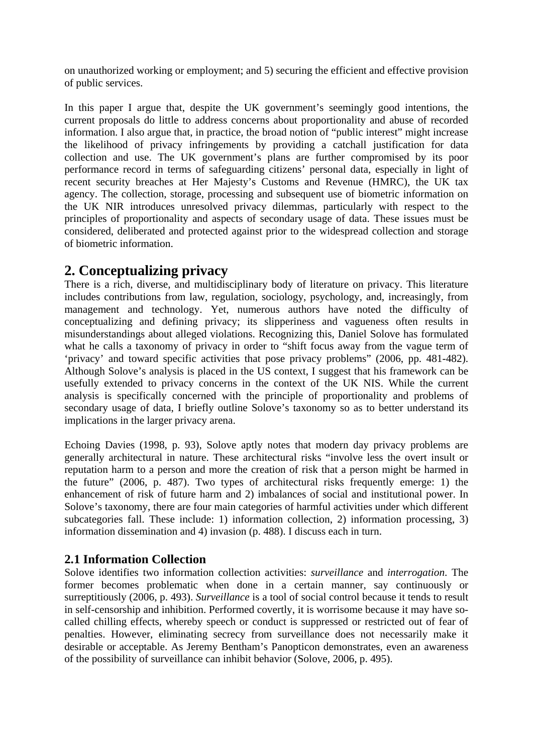on unauthorized working or employment; and 5) securing the efficient and effective provision of public services.

In this paper I argue that, despite the UK government's seemingly good intentions, the current proposals do little to address concerns about proportionality and abuse of recorded information. I also argue that, in practice, the broad notion of "public interest" might increase the likelihood of privacy infringements by providing a catchall justification for data collection and use. The UK government's plans are further compromised by its poor performance record in terms of safeguarding citizens' personal data, especially in light of recent security breaches at Her Majesty's Customs and Revenue (HMRC), the UK tax agency. The collection, storage, processing and subsequent use of biometric information on the UK NIR introduces unresolved privacy dilemmas, particularly with respect to the principles of proportionality and aspects of secondary usage of data. These issues must be considered, deliberated and protected against prior to the widespread collection and storage of biometric information.

## **2. Conceptualizing privacy**

There is a rich, diverse, and multidisciplinary body of literature on privacy. This literature includes contributions from law, regulation, sociology, psychology, and, increasingly, from management and technology. Yet, numerous authors have noted the difficulty of conceptualizing and defining privacy; its slipperiness and vagueness often results in misunderstandings about alleged violations. Recognizing this, Daniel Solove has formulated what he calls a taxonomy of privacy in order to "shift focus away from the vague term of 'privacy' and toward specific activities that pose privacy problems" (2006, pp. 481-482). Although Solove's analysis is placed in the US context, I suggest that his framework can be usefully extended to privacy concerns in the context of the UK NIS. While the current analysis is specifically concerned with the principle of proportionality and problems of secondary usage of data, I briefly outline Solove's taxonomy so as to better understand its implications in the larger privacy arena.

Echoing Davies (1998, p. 93), Solove aptly notes that modern day privacy problems are generally architectural in nature. These architectural risks "involve less the overt insult or reputation harm to a person and more the creation of risk that a person might be harmed in the future" (2006, p. 487). Two types of architectural risks frequently emerge: 1) the enhancement of risk of future harm and 2) imbalances of social and institutional power. In Solove's taxonomy, there are four main categories of harmful activities under which different subcategories fall. These include: 1) information collection, 2) information processing, 3) information dissemination and 4) invasion (p. 488). I discuss each in turn.

### **2.1 Information Collection**

Solove identifies two information collection activities: *surveillance* and *interrogation*. The former becomes problematic when done in a certain manner, say continuously or surreptitiously (2006, p. 493). *Surveillance* is a tool of social control because it tends to result in self-censorship and inhibition. Performed covertly, it is worrisome because it may have socalled chilling effects, whereby speech or conduct is suppressed or restricted out of fear of penalties. However, eliminating secrecy from surveillance does not necessarily make it desirable or acceptable. As Jeremy Bentham's Panopticon demonstrates, even an awareness of the possibility of surveillance can inhibit behavior (Solove, 2006, p. 495).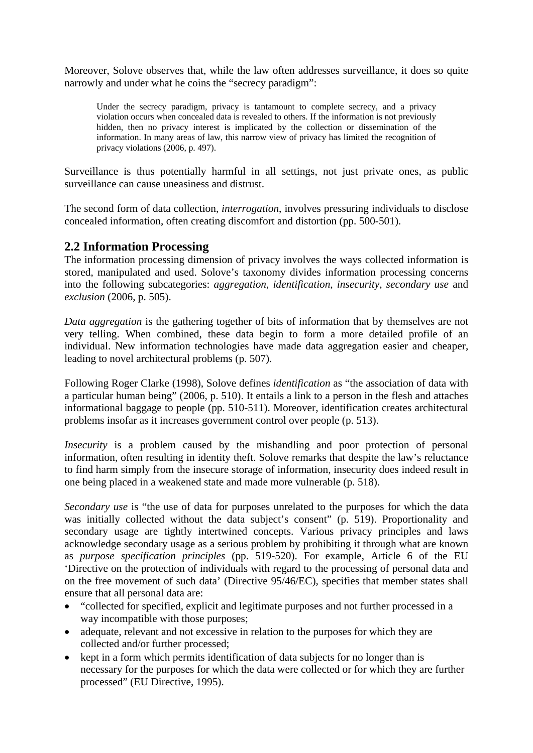Moreover, Solove observes that, while the law often addresses surveillance, it does so quite narrowly and under what he coins the "secrecy paradigm":

Under the secrecy paradigm, privacy is tantamount to complete secrecy, and a privacy violation occurs when concealed data is revealed to others. If the information is not previously hidden, then no privacy interest is implicated by the collection or dissemination of the information. In many areas of law, this narrow view of privacy has limited the recognition of privacy violations (2006, p. 497).

Surveillance is thus potentially harmful in all settings, not just private ones, as public surveillance can cause uneasiness and distrust.

The second form of data collection, *interrogation*, involves pressuring individuals to disclose concealed information, often creating discomfort and distortion (pp. 500-501).

### **2.2 Information Processing**

The information processing dimension of privacy involves the ways collected information is stored, manipulated and used. Solove's taxonomy divides information processing concerns into the following subcategories: *aggregation*, *identification*, *insecurity*, *secondary use* and *exclusion* (2006, p. 505).

*Data aggregation* is the gathering together of bits of information that by themselves are not very telling. When combined, these data begin to form a more detailed profile of an individual. New information technologies have made data aggregation easier and cheaper, leading to novel architectural problems (p. 507).

Following Roger Clarke (1998), Solove defines *identification* as "the association of data with a particular human being" (2006, p. 510). It entails a link to a person in the flesh and attaches informational baggage to people (pp. 510-511). Moreover, identification creates architectural problems insofar as it increases government control over people (p. 513).

*Insecurity* is a problem caused by the mishandling and poor protection of personal information, often resulting in identity theft. Solove remarks that despite the law's reluctance to find harm simply from the insecure storage of information, insecurity does indeed result in one being placed in a weakened state and made more vulnerable (p. 518).

*Secondary use* is "the use of data for purposes unrelated to the purposes for which the data was initially collected without the data subject's consent" (p. 519). Proportionality and secondary usage are tightly intertwined concepts. Various privacy principles and laws acknowledge secondary usage as a serious problem by prohibiting it through what are known as *purpose specification principles* (pp. 519-520). For example, Article 6 of the EU 'Directive on the protection of individuals with regard to the processing of personal data and on the free movement of such data' (Directive 95/46/EC), specifies that member states shall ensure that all personal data are:

- "collected for specified, explicit and legitimate purposes and not further processed in a way incompatible with those purposes;
- adequate, relevant and not excessive in relation to the purposes for which they are collected and/or further processed;
- kept in a form which permits identification of data subjects for no longer than is necessary for the purposes for which the data were collected or for which they are further processed" (EU Directive, 1995).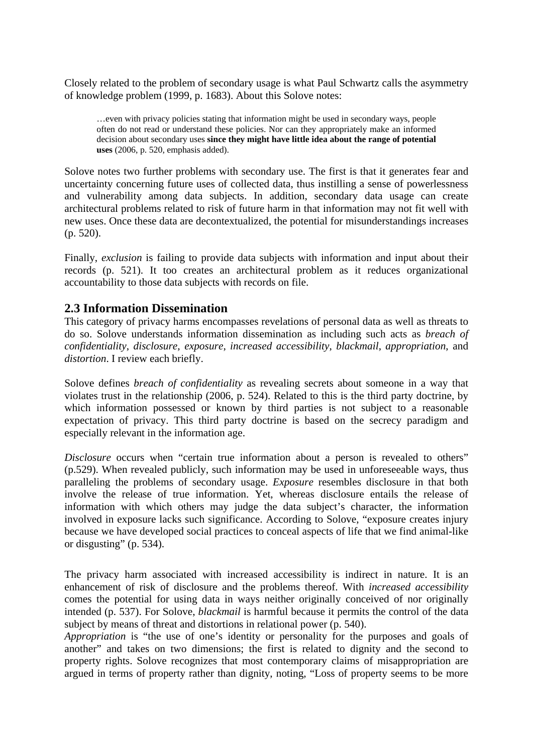Closely related to the problem of secondary usage is what Paul Schwartz calls the asymmetry of knowledge problem (1999, p. 1683). About this Solove notes:

…even with privacy policies stating that information might be used in secondary ways, people often do not read or understand these policies. Nor can they appropriately make an informed decision about secondary uses **since they might have little idea about the range of potential uses** (2006, p. 520, emphasis added).

Solove notes two further problems with secondary use. The first is that it generates fear and uncertainty concerning future uses of collected data, thus instilling a sense of powerlessness and vulnerability among data subjects. In addition, secondary data usage can create architectural problems related to risk of future harm in that information may not fit well with new uses. Once these data are decontextualized, the potential for misunderstandings increases (p. 520).

Finally, *exclusion* is failing to provide data subjects with information and input about their records (p. 521). It too creates an architectural problem as it reduces organizational accountability to those data subjects with records on file.

### **2.3 Information Dissemination**

This category of privacy harms encompasses revelations of personal data as well as threats to do so. Solove understands information dissemination as including such acts as *breach of confidentiality*, *disclosure*, *exposure*, *increased accessibility*, *blackmail*, *appropriation*, and *distortion*. I review each briefly.

Solove defines *breach of confidentiality* as revealing secrets about someone in a way that violates trust in the relationship (2006, p. 524). Related to this is the third party doctrine, by which information possessed or known by third parties is not subject to a reasonable expectation of privacy. This third party doctrine is based on the secrecy paradigm and especially relevant in the information age.

*Disclosure* occurs when "certain true information about a person is revealed to others" (p.529). When revealed publicly, such information may be used in unforeseeable ways, thus paralleling the problems of secondary usage. *Exposure* resembles disclosure in that both involve the release of true information. Yet, whereas disclosure entails the release of information with which others may judge the data subject's character, the information involved in exposure lacks such significance. According to Solove, "exposure creates injury because we have developed social practices to conceal aspects of life that we find animal-like or disgusting" (p. 534).

The privacy harm associated with increased accessibility is indirect in nature. It is an enhancement of risk of disclosure and the problems thereof. With *increased accessibility* comes the potential for using data in ways neither originally conceived of nor originally intended (p. 537). For Solove, *blackmail* is harmful because it permits the control of the data subject by means of threat and distortions in relational power (p. 540).

*Appropriation* is "the use of one's identity or personality for the purposes and goals of another" and takes on two dimensions; the first is related to dignity and the second to property rights. Solove recognizes that most contemporary claims of misappropriation are argued in terms of property rather than dignity, noting, "Loss of property seems to be more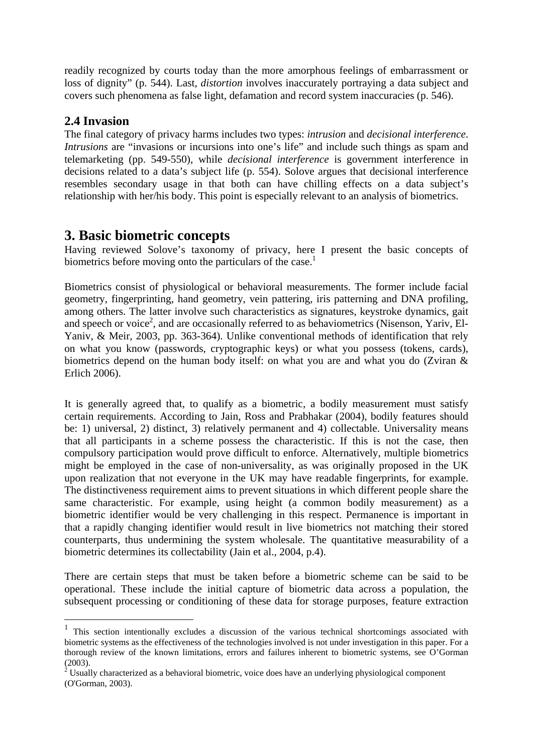readily recognized by courts today than the more amorphous feelings of embarrassment or loss of dignity" (p. 544). Last, *distortion* involves inaccurately portraying a data subject and covers such phenomena as false light, defamation and record system inaccuracies (p. 546).

### **2.4 Invasion**

1

The final category of privacy harms includes two types: *intrusion* and *decisional interference*. *Intrusions* are "invasions or incursions into one's life" and include such things as spam and telemarketing (pp. 549-550), while *decisional interference* is government interference in decisions related to a data's subject life (p. 554). Solove argues that decisional interference resembles secondary usage in that both can have chilling effects on a data subject's relationship with her/his body. This point is especially relevant to an analysis of biometrics.

## **3. Basic biometric concepts**

Having reviewed Solove's taxonomy of privacy, here I present the basic concepts of biometrics before moving onto the particulars of the case.<sup>1</sup>

Biometrics consist of physiological or behavioral measurements. The former include facial geometry, fingerprinting, hand geometry, vein pattering, iris patterning and DNA profiling, among others. The latter involve such characteristics as signatures, keystroke dynamics, gait and speech or voice<sup>2</sup>, and are occasionally referred to as behaviometrics (Nisenson, Yariv, El-Yaniv, & Meir, 2003, pp. 363-364). Unlike conventional methods of identification that rely on what you know (passwords, cryptographic keys) or what you possess (tokens, cards), biometrics depend on the human body itself: on what you are and what you do (Zviran & Erlich 2006).

It is generally agreed that, to qualify as a biometric, a bodily measurement must satisfy certain requirements. According to Jain, Ross and Prabhakar (2004), bodily features should be: 1) universal, 2) distinct, 3) relatively permanent and 4) collectable. Universality means that all participants in a scheme possess the characteristic. If this is not the case, then compulsory participation would prove difficult to enforce. Alternatively, multiple biometrics might be employed in the case of non-universality, as was originally proposed in the UK upon realization that not everyone in the UK may have readable fingerprints, for example. The distinctiveness requirement aims to prevent situations in which different people share the same characteristic. For example, using height (a common bodily measurement) as a biometric identifier would be very challenging in this respect. Permanence is important in that a rapidly changing identifier would result in live biometrics not matching their stored counterparts, thus undermining the system wholesale. The quantitative measurability of a biometric determines its collectability (Jain et al., 2004, p.4).

There are certain steps that must be taken before a biometric scheme can be said to be operational. These include the initial capture of biometric data across a population, the subsequent processing or conditioning of these data for storage purposes, feature extraction

<sup>&</sup>lt;sup>1</sup> This section intentionally excludes a discussion of the various technical shortcomings associated with biometric systems as the effectiveness of the technologies involved is not under investigation in this paper. For a thorough review of the known limitations, errors and failures inherent to biometric systems, see O'Gorman

<sup>(2003).&</sup>lt;br><sup>2</sup> Usually characterized as a behavioral biometric, voice does have an underlying physiological component (O'Gorman, 2003).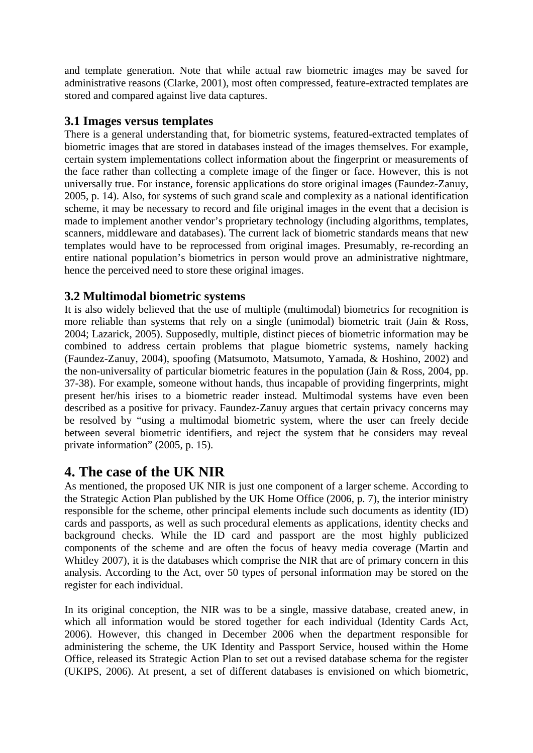and template generation. Note that while actual raw biometric images may be saved for administrative reasons (Clarke, 2001), most often compressed, feature-extracted templates are stored and compared against live data captures.

### **3.1 Images versus templates**

There is a general understanding that, for biometric systems, featured-extracted templates of biometric images that are stored in databases instead of the images themselves. For example, certain system implementations collect information about the fingerprint or measurements of the face rather than collecting a complete image of the finger or face. However, this is not universally true. For instance, forensic applications do store original images (Faundez-Zanuy, 2005, p. 14). Also, for systems of such grand scale and complexity as a national identification scheme, it may be necessary to record and file original images in the event that a decision is made to implement another vendor's proprietary technology (including algorithms, templates, scanners, middleware and databases). The current lack of biometric standards means that new templates would have to be reprocessed from original images. Presumably, re-recording an entire national population's biometrics in person would prove an administrative nightmare, hence the perceived need to store these original images.

### **3.2 Multimodal biometric systems**

It is also widely believed that the use of multiple (multimodal) biometrics for recognition is more reliable than systems that rely on a single (unimodal) biometric trait (Jain & Ross, 2004; Lazarick, 2005). Supposedly, multiple, distinct pieces of biometric information may be combined to address certain problems that plague biometric systems, namely hacking (Faundez-Zanuy, 2004), spoofing (Matsumoto, Matsumoto, Yamada, & Hoshino, 2002) and the non-universality of particular biometric features in the population (Jain & Ross, 2004, pp. 37-38). For example, someone without hands, thus incapable of providing fingerprints, might present her/his irises to a biometric reader instead. Multimodal systems have even been described as a positive for privacy. Faundez-Zanuy argues that certain privacy concerns may be resolved by "using a multimodal biometric system, where the user can freely decide between several biometric identifiers, and reject the system that he considers may reveal private information" (2005, p. 15).

# **4. The case of the UK NIR**

As mentioned, the proposed UK NIR is just one component of a larger scheme. According to the Strategic Action Plan published by the UK Home Office (2006, p. 7), the interior ministry responsible for the scheme, other principal elements include such documents as identity (ID) cards and passports, as well as such procedural elements as applications, identity checks and background checks. While the ID card and passport are the most highly publicized components of the scheme and are often the focus of heavy media coverage (Martin and Whitley 2007), it is the databases which comprise the NIR that are of primary concern in this analysis. According to the Act, over 50 types of personal information may be stored on the register for each individual.

In its original conception, the NIR was to be a single, massive database, created anew, in which all information would be stored together for each individual (Identity Cards Act, 2006). However, this changed in December 2006 when the department responsible for administering the scheme, the UK Identity and Passport Service, housed within the Home Office, released its Strategic Action Plan to set out a revised database schema for the register (UKIPS, 2006). At present, a set of different databases is envisioned on which biometric,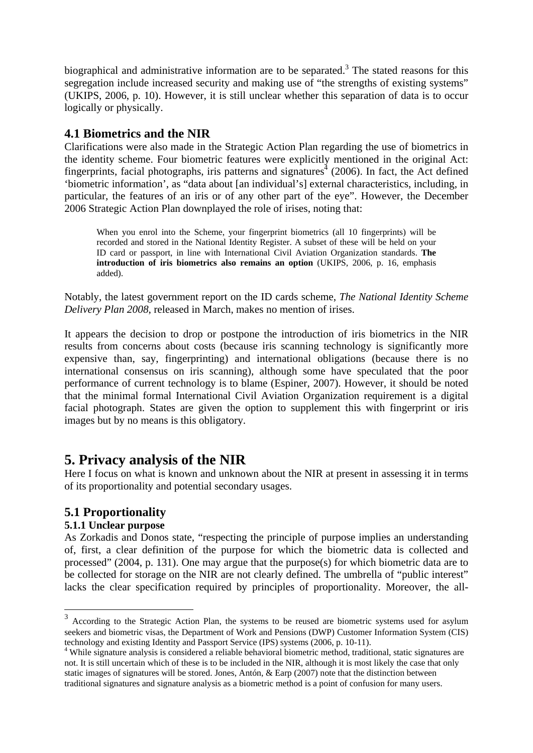biographical and administrative information are to be separated.<sup>3</sup> The stated reasons for this segregation include increased security and making use of "the strengths of existing systems" (UKIPS, 2006, p. 10). However, it is still unclear whether this separation of data is to occur logically or physically.

### **4.1 Biometrics and the NIR**

Clarifications were also made in the Strategic Action Plan regarding the use of biometrics in the identity scheme. Four biometric features were explicitly mentioned in the original Act: fingerprints, facial photographs, iris patterns and signatures<sup> $4$ </sup> (2006). In fact, the Act defined 'biometric information', as "data about [an individual's] external characteristics, including, in particular, the features of an iris or of any other part of the eye". However, the December 2006 Strategic Action Plan downplayed the role of irises, noting that:

When you enrol into the Scheme, your fingerprint biometrics (all 10 fingerprints) will be recorded and stored in the National Identity Register. A subset of these will be held on your ID card or passport, in line with International Civil Aviation Organization standards. **The introduction of iris biometrics also remains an option** (UKIPS, 2006, p. 16, emphasis added).

Notably, the latest government report on the ID cards scheme, *The National Identity Scheme Delivery Plan 2008*, released in March, makes no mention of irises.

It appears the decision to drop or postpone the introduction of iris biometrics in the NIR results from concerns about costs (because iris scanning technology is significantly more expensive than, say, fingerprinting) and international obligations (because there is no international consensus on iris scanning), although some have speculated that the poor performance of current technology is to blame (Espiner, 2007). However, it should be noted that the minimal formal International Civil Aviation Organization requirement is a digital facial photograph. States are given the option to supplement this with fingerprint or iris images but by no means is this obligatory.

# **5. Privacy analysis of the NIR**

Here I focus on what is known and unknown about the NIR at present in assessing it in terms of its proportionality and potential secondary usages.

### **5.1 Proportionality**

#### **5.1.1 Unclear purpose**

1

As Zorkadis and Donos state, "respecting the principle of purpose implies an understanding of, first, a clear definition of the purpose for which the biometric data is collected and processed" (2004, p. 131). One may argue that the purpose(s) for which biometric data are to be collected for storage on the NIR are not clearly defined. The umbrella of "public interest" lacks the clear specification required by principles of proportionality. Moreover, the all-

<sup>&</sup>lt;sup>3</sup> According to the Strategic Action Plan, the systems to be reused are biometric systems used for asylum seekers and biometric visas, the Department of Work and Pensions (DWP) Customer Information System (CIS) technology and existing Identity and Passport Service (IPS) systems (2006, p. 10-11).

<sup>&</sup>lt;sup>4</sup> While signature analysis is considered a reliable behavioral biometric method, traditional, static signatures are not. It is still uncertain which of these is to be included in the NIR, although it is most likely the case that only static images of signatures will be stored. Jones, Antón, & Earp (2007) note that the distinction between traditional signatures and signature analysis as a biometric method is a point of confusion for many users.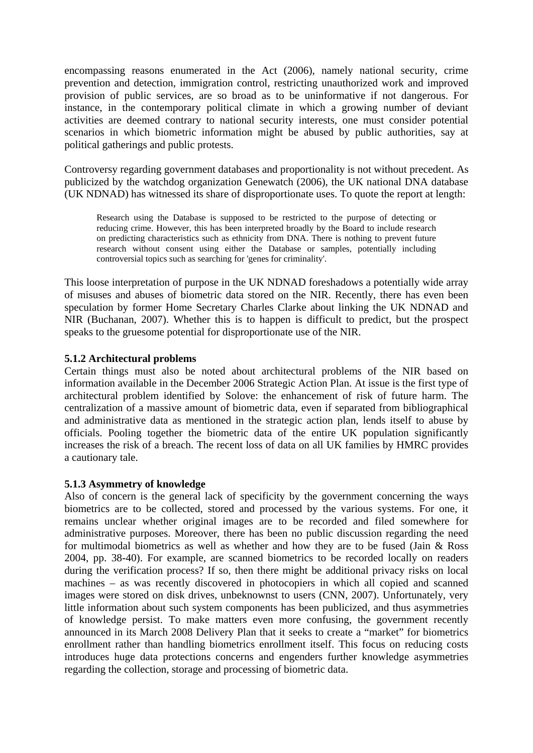encompassing reasons enumerated in the Act (2006), namely national security, crime prevention and detection, immigration control, restricting unauthorized work and improved provision of public services, are so broad as to be uninformative if not dangerous. For instance, in the contemporary political climate in which a growing number of deviant activities are deemed contrary to national security interests, one must consider potential scenarios in which biometric information might be abused by public authorities, say at political gatherings and public protests.

Controversy regarding government databases and proportionality is not without precedent. As publicized by the watchdog organization Genewatch (2006), the UK national DNA database (UK NDNAD) has witnessed its share of disproportionate uses. To quote the report at length:

Research using the Database is supposed to be restricted to the purpose of detecting or reducing crime. However, this has been interpreted broadly by the Board to include research on predicting characteristics such as ethnicity from DNA. There is nothing to prevent future research without consent using either the Database or samples, potentially including controversial topics such as searching for 'genes for criminality'.

This loose interpretation of purpose in the UK NDNAD foreshadows a potentially wide array of misuses and abuses of biometric data stored on the NIR. Recently, there has even been speculation by former Home Secretary Charles Clarke about linking the UK NDNAD and NIR (Buchanan, 2007). Whether this is to happen is difficult to predict, but the prospect speaks to the gruesome potential for disproportionate use of the NIR.

#### **5.1.2 Architectural problems**

Certain things must also be noted about architectural problems of the NIR based on information available in the December 2006 Strategic Action Plan. At issue is the first type of architectural problem identified by Solove: the enhancement of risk of future harm. The centralization of a massive amount of biometric data, even if separated from bibliographical and administrative data as mentioned in the strategic action plan, lends itself to abuse by officials. Pooling together the biometric data of the entire UK population significantly increases the risk of a breach. The recent loss of data on all UK families by HMRC provides a cautionary tale.

#### **5.1.3 Asymmetry of knowledge**

Also of concern is the general lack of specificity by the government concerning the ways biometrics are to be collected, stored and processed by the various systems. For one, it remains unclear whether original images are to be recorded and filed somewhere for administrative purposes. Moreover, there has been no public discussion regarding the need for multimodal biometrics as well as whether and how they are to be fused (Jain & Ross 2004, pp. 38-40). For example, are scanned biometrics to be recorded locally on readers during the verification process? If so, then there might be additional privacy risks on local machines – as was recently discovered in photocopiers in which all copied and scanned images were stored on disk drives, unbeknownst to users (CNN, 2007). Unfortunately, very little information about such system components has been publicized, and thus asymmetries of knowledge persist. To make matters even more confusing, the government recently announced in its March 2008 Delivery Plan that it seeks to create a "market" for biometrics enrollment rather than handling biometrics enrollment itself. This focus on reducing costs introduces huge data protections concerns and engenders further knowledge asymmetries regarding the collection, storage and processing of biometric data.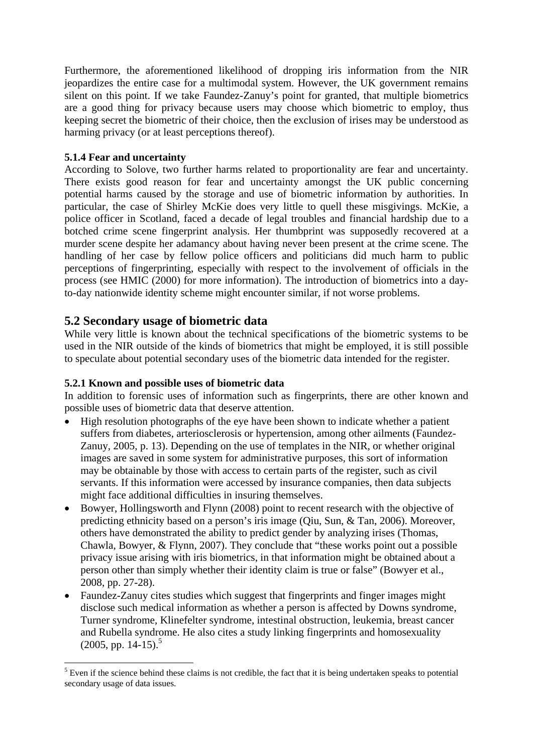Furthermore, the aforementioned likelihood of dropping iris information from the NIR jeopardizes the entire case for a multimodal system. However, the UK government remains silent on this point. If we take Faundez-Zanuy's point for granted, that multiple biometrics are a good thing for privacy because users may choose which biometric to employ, thus keeping secret the biometric of their choice, then the exclusion of irises may be understood as harming privacy (or at least perceptions thereof).

#### **5.1.4 Fear and uncertainty**

According to Solove, two further harms related to proportionality are fear and uncertainty. There exists good reason for fear and uncertainty amongst the UK public concerning potential harms caused by the storage and use of biometric information by authorities. In particular, the case of Shirley McKie does very little to quell these misgivings. McKie, a police officer in Scotland, faced a decade of legal troubles and financial hardship due to a botched crime scene fingerprint analysis. Her thumbprint was supposedly recovered at a murder scene despite her adamancy about having never been present at the crime scene. The handling of her case by fellow police officers and politicians did much harm to public perceptions of fingerprinting, especially with respect to the involvement of officials in the process (see HMIC (2000) for more information). The introduction of biometrics into a dayto-day nationwide identity scheme might encounter similar, if not worse problems.

### **5.2 Secondary usage of biometric data**

While very little is known about the technical specifications of the biometric systems to be used in the NIR outside of the kinds of biometrics that might be employed, it is still possible to speculate about potential secondary uses of the biometric data intended for the register.

#### **5.2.1 Known and possible uses of biometric data**

In addition to forensic uses of information such as fingerprints, there are other known and possible uses of biometric data that deserve attention.

- High resolution photographs of the eye have been shown to indicate whether a patient suffers from diabetes, arteriosclerosis or hypertension, among other ailments (Faundez-Zanuy, 2005, p. 13). Depending on the use of templates in the NIR, or whether original images are saved in some system for administrative purposes, this sort of information may be obtainable by those with access to certain parts of the register, such as civil servants. If this information were accessed by insurance companies, then data subjects might face additional difficulties in insuring themselves.
- Bowyer, Hollingsworth and Flynn (2008) point to recent research with the objective of predicting ethnicity based on a person's iris image (Qiu, Sun, & Tan, 2006). Moreover, others have demonstrated the ability to predict gender by analyzing irises (Thomas, Chawla, Bowyer, & Flynn, 2007). They conclude that "these works point out a possible privacy issue arising with iris biometrics, in that information might be obtained about a person other than simply whether their identity claim is true or false" (Bowyer et al., 2008, pp. 27-28).
- Faundez-Zanuy cites studies which suggest that fingerprints and finger images might disclose such medical information as whether a person is affected by Downs syndrome, Turner syndrome, Klinefelter syndrome, intestinal obstruction, leukemia, breast cancer and Rubella syndrome. He also cites a study linking fingerprints and homosexuality  $(2005, pp. 14-15)^5$

<sup>&</sup>lt;u>.</u>  $<sup>5</sup>$  Even if the science behind these claims is not credible, the fact that it is being undertaken speaks to potential</sup> secondary usage of data issues.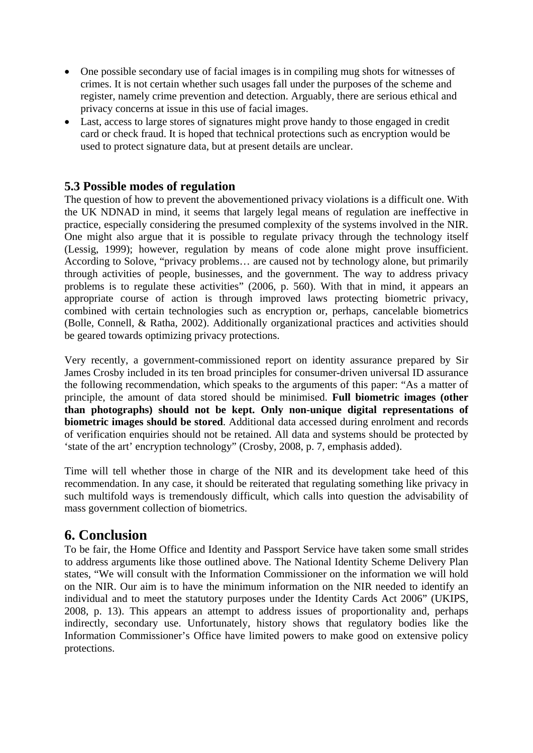- One possible secondary use of facial images is in compiling mug shots for witnesses of crimes. It is not certain whether such usages fall under the purposes of the scheme and register, namely crime prevention and detection. Arguably, there are serious ethical and privacy concerns at issue in this use of facial images.
- Last, access to large stores of signatures might prove handy to those engaged in credit card or check fraud. It is hoped that technical protections such as encryption would be used to protect signature data, but at present details are unclear.

#### **5.3 Possible modes of regulation**

The question of how to prevent the abovementioned privacy violations is a difficult one. With the UK NDNAD in mind, it seems that largely legal means of regulation are ineffective in practice, especially considering the presumed complexity of the systems involved in the NIR. One might also argue that it is possible to regulate privacy through the technology itself (Lessig, 1999); however, regulation by means of code alone might prove insufficient. According to Solove, "privacy problems… are caused not by technology alone, but primarily through activities of people, businesses, and the government. The way to address privacy problems is to regulate these activities" (2006, p. 560). With that in mind, it appears an appropriate course of action is through improved laws protecting biometric privacy, combined with certain technologies such as encryption or, perhaps, cancelable biometrics (Bolle, Connell, & Ratha, 2002). Additionally organizational practices and activities should be geared towards optimizing privacy protections.

Very recently, a government-commissioned report on identity assurance prepared by Sir James Crosby included in its ten broad principles for consumer-driven universal ID assurance the following recommendation, which speaks to the arguments of this paper: "As a matter of principle, the amount of data stored should be minimised. **Full biometric images (other than photographs) should not be kept. Only non-unique digital representations of biometric images should be stored**. Additional data accessed during enrolment and records of verification enquiries should not be retained. All data and systems should be protected by 'state of the art' encryption technology" (Crosby, 2008, p. 7, emphasis added).

Time will tell whether those in charge of the NIR and its development take heed of this recommendation. In any case, it should be reiterated that regulating something like privacy in such multifold ways is tremendously difficult, which calls into question the advisability of mass government collection of biometrics.

### **6. Conclusion**

To be fair, the Home Office and Identity and Passport Service have taken some small strides to address arguments like those outlined above. The National Identity Scheme Delivery Plan states, "We will consult with the Information Commissioner on the information we will hold on the NIR. Our aim is to have the minimum information on the NIR needed to identify an individual and to meet the statutory purposes under the Identity Cards Act 2006" (UKIPS, 2008, p. 13). This appears an attempt to address issues of proportionality and, perhaps indirectly, secondary use. Unfortunately, history shows that regulatory bodies like the Information Commissioner's Office have limited powers to make good on extensive policy protections.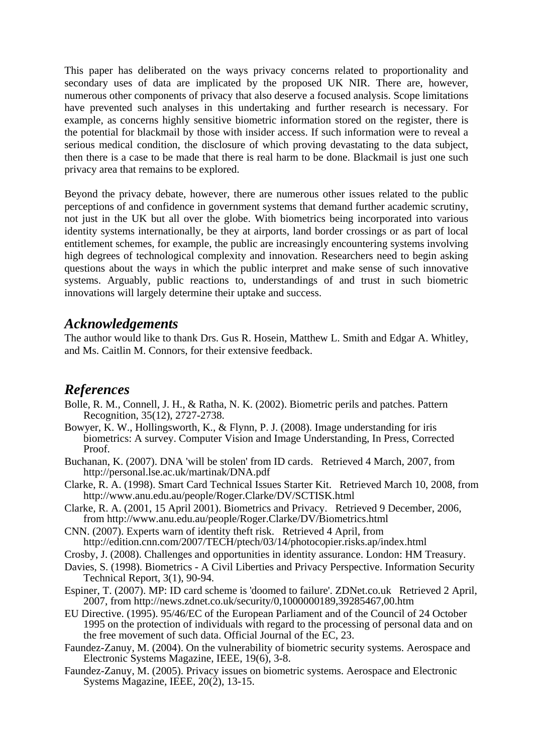This paper has deliberated on the ways privacy concerns related to proportionality and secondary uses of data are implicated by the proposed UK NIR. There are, however, numerous other components of privacy that also deserve a focused analysis. Scope limitations have prevented such analyses in this undertaking and further research is necessary. For example, as concerns highly sensitive biometric information stored on the register, there is the potential for blackmail by those with insider access. If such information were to reveal a serious medical condition, the disclosure of which proving devastating to the data subject, then there is a case to be made that there is real harm to be done. Blackmail is just one such privacy area that remains to be explored.

Beyond the privacy debate, however, there are numerous other issues related to the public perceptions of and confidence in government systems that demand further academic scrutiny, not just in the UK but all over the globe. With biometrics being incorporated into various identity systems internationally, be they at airports, land border crossings or as part of local entitlement schemes, for example, the public are increasingly encountering systems involving high degrees of technological complexity and innovation. Researchers need to begin asking questions about the ways in which the public interpret and make sense of such innovative systems. Arguably, public reactions to, understandings of and trust in such biometric innovations will largely determine their uptake and success.

### *Acknowledgements*

The author would like to thank Drs. Gus R. Hosein, Matthew L. Smith and Edgar A. Whitley, and Ms. Caitlin M. Connors, for their extensive feedback.

### *References*

- Bolle, R. M., Connell, J. H., & Ratha, N. K. (2002). Biometric perils and patches. Pattern Recognition, 35(12), 2727-2738.
- Bowyer, K. W., Hollingsworth, K., & Flynn, P. J. (2008). Image understanding for iris biometrics: A survey. Computer Vision and Image Understanding, In Press, Corrected Proof.
- Buchanan, K. (2007). DNA 'will be stolen' from ID cards. Retrieved 4 March, 2007, from http://personal.lse.ac.uk/martinak/DNA.pdf
- Clarke, R. A. (1998). Smart Card Technical Issues Starter Kit. Retrieved March 10, 2008, from http://www.anu.edu.au/people/Roger.Clarke/DV/SCTISK.html
- Clarke, R. A. (2001, 15 April 2001). Biometrics and Privacy. Retrieved 9 December, 2006, from http://www.anu.edu.au/people/Roger.Clarke/DV/Biometrics.html
- CNN. (2007). Experts warn of identity theft risk. Retrieved 4 April, from http://edition.cnn.com/2007/TECH/ptech/03/14/photocopier.risks.ap/index.html
- Crosby, J. (2008). Challenges and opportunities in identity assurance. London: HM Treasury.
- Davies, S. (1998). Biometrics A Civil Liberties and Privacy Perspective. Information Security Technical Report, 3(1), 90-94.
- Espiner, T. (2007). MP: ID card scheme is 'doomed to failure'. ZDNet.co.uk Retrieved 2 April, 2007, from http://news.zdnet.co.uk/security/0,1000000189,39285467,00.htm
- EU Directive. (1995). 95/46/EC of the European Parliament and of the Council of 24 October 1995 on the protection of individuals with regard to the processing of personal data and on the free movement of such data. Official Journal of the EC, 23.
- Faundez-Zanuy, M. (2004). On the vulnerability of biometric security systems. Aerospace and Electronic Systems Magazine, IEEE, 19(6), 3-8.
- Faundez-Zanuy, M. (2005). Privacy issues on biometric systems. Aerospace and Electronic Systems Magazine, IEEE,  $20(2)$ , 13-15.